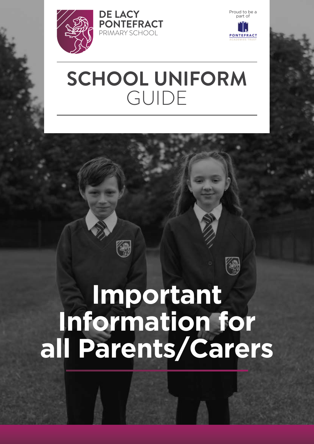



# **SCHOOL UNIFORM**  GUIDE

# **Important Information for all Parents/Carers**

缴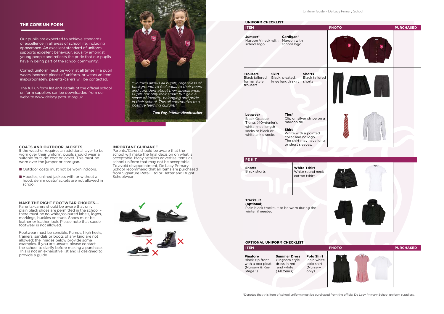Uniform Guide - De Lacy Primary School



\*Denotes that this item of school uniform must be purchased from the official De Lacy Primary School uniform suppliers.

| <b>OPTIONAL UNIFORM CHECKLIST</b>                                                    |                                                                                  |                                                                     |  |
|--------------------------------------------------------------------------------------|----------------------------------------------------------------------------------|---------------------------------------------------------------------|--|
| <b>ITEM</b>                                                                          |                                                                                  |                                                                     |  |
| <b>Pinafore</b><br>Black zip front<br>with a box pleat<br>(Nursery & Key<br>Stage 1) | <b>Summer Dress</b><br>Gingham style<br>dress in red<br>and white<br>(All Years) | <b>Polo Shirt</b><br>Plain white<br>polo shirt<br>(Nursery<br>only) |  |

### **THE CORE UNIFORM**

- Outdoor coats must not be worn indoors.
- $\blacksquare$  Hoodies, unlined jackets with or without a hood, denim coats/jackets are not allowed in school.

Our pupils are expected to achieve standards of excellence in all areas of school life, including appearance. An excellent standard of uniform supports excellent behaviour, equality amongst young people and reflects the pride that our pupils have in being part of the school community.

Correct uniform must be worn at all times. If a pupil wears incorrect pieces of uniform, or wears an item inappropriately, parents/carers will be contacted.

The full uniform list and details of the official school uniform suppliers can be downloaded from our website www.delacy.patrust.org.uk



*"Uniform allows all pupils, regardless of background, to feel equal to their peers and confident about their appearance. Pupils not only look smart but gain a sense of identity, belonging and pride in their school. This all contributes to a positive learning culture."* 

*Tom Fay, Interim Headteacher*

#### **COATS AND OUTDOOR JACKETS**

If the weather requires an additional layer to be worn over their uniform, pupils should wear a suitable 'outside' coat or jacket. This must be worn over the jumper or cardigan.

**MAKE THE RIGHT FOOTWEAR CHOICES….**

Parents/carers should be aware that only plain black shoes are permitted in the school – there must be no white/coloured labels, logos, markings, buckles or studs. Shoes must be leather or leather look. Please note that suede footwear is not allowed.

Footwear must be sensible. Pumps, high heels, trainers, sandals or boots of any kind are not allowed; the images below provide some examples. If you are unsure, please contact the school to clarify before making a purchase. This is not an exhaustive list and is designed to provide a guide.

#### **IMPORTANT GUIDANCE**

Parents/Carers should be aware that the school will make the final decision on what is acceptable. Many retailers advertise items as school uniform that may not be acceptable. To avoid disappointment, De Lacy Primary School recommend that all items are purchased from Signature Retail Ltd or Better and Bright Schoolwear.